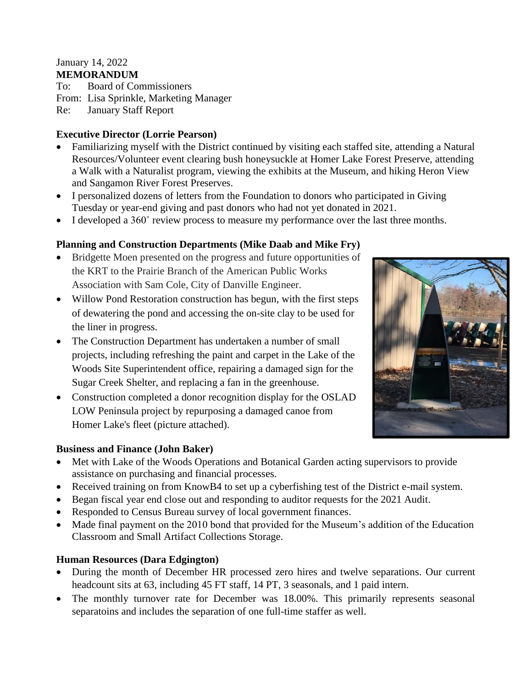#### January 14, 2022 **MEMORANDUM**

To: Board of Commissioners

From: Lisa Sprinkle, Marketing Manager

Re: January Staff Report

## **Executive Director (Lorrie Pearson)**

- Familiarizing myself with the District continued by visiting each staffed site, attending a Natural Resources/Volunteer event clearing bush honeysuckle at Homer Lake Forest Preserve, attending a Walk with a Naturalist program, viewing the exhibits at the Museum, and hiking Heron View and Sangamon River Forest Preserves.
- I personalized dozens of letters from the Foundation to donors who participated in Giving Tuesday or year-end giving and past donors who had not yet donated in 2021.
- I developed a 360° review process to measure my performance over the last three months.

## **Planning and Construction Departments (Mike Daab and Mike Fry)**

- Bridgette Moen presented on the progress and future opportunities of the KRT to the Prairie Branch of the American Public Works Association with Sam Cole, City of Danville Engineer.
- Willow Pond Restoration construction has begun, with the first steps of dewatering the pond and accessing the on-site clay to be used for the liner in progress.
- The Construction Department has undertaken a number of small projects, including refreshing the paint and carpet in the Lake of the Woods Site Superintendent office, repairing a damaged sign for the Sugar Creek Shelter, and replacing a fan in the greenhouse.
- Construction completed a donor recognition display for the OSLAD LOW Peninsula project by repurposing a damaged canoe from Homer Lake's fleet (picture attached).



### **Business and Finance (John Baker)**

- Met with Lake of the Woods Operations and Botanical Garden acting supervisors to provide assistance on purchasing and financial processes.
- Received training on from KnowB4 to set up a cyberfishing test of the District e-mail system.
- Began fiscal year end close out and responding to auditor requests for the 2021 Audit.
- Responded to Census Bureau survey of local government finances.
- Made final payment on the 2010 bond that provided for the Museum's addition of the Education Classroom and Small Artifact Collections Storage.

## **Human Resources (Dara Edgington)**

- During the month of December HR processed zero hires and twelve separations. Our current headcount sits at 63, including 45 FT staff, 14 PT, 3 seasonals, and 1 paid intern.
- The monthly turnover rate for December was 18.00%. This primarily represents seasonal separatoins and includes the separation of one full-time staffer as well.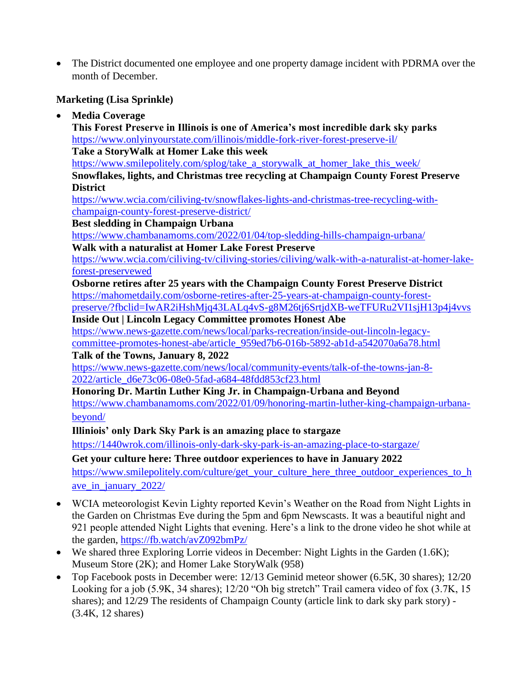• The District documented one employee and one property damage incident with PDRMA over the month of December.

## **Marketing (Lisa Sprinkle)**

**Media Coverage**

**This Forest Preserve in Illinois is one of America's most incredible dark sky parks** <https://www.onlyinyourstate.com/illinois/middle-fork-river-forest-preserve-il/> **Take a StoryWalk at Homer Lake this week** https://www.smilepolitely.com/splog/take a storywalk at homer lake this week/ **Snowflakes, lights, and Christmas tree recycling at Champaign County Forest Preserve District** [https://www.wcia.com/ciliving-tv/snowflakes-lights-and-christmas-tree-recycling-with](https://www.wcia.com/ciliving-tv/snowflakes-lights-and-christmas-tree-recycling-with-champaign-county-forest-preserve-district/)[champaign-county-forest-preserve-district/](https://www.wcia.com/ciliving-tv/snowflakes-lights-and-christmas-tree-recycling-with-champaign-county-forest-preserve-district/) **Best sledding in Champaign Urbana** <https://www.chambanamoms.com/2022/01/04/top-sledding-hills-champaign-urbana/> **Walk with a naturalist at Homer Lake Forest Preserve** [https://www.wcia.com/ciliving-tv/ciliving-stories/ciliving/walk-with-a-naturalist-at-homer-lake](https://www.wcia.com/ciliving-tv/ciliving-stories/ciliving/walk-with-a-naturalist-at-homer-lake-forest-preservewed)[forest-preservewed](https://www.wcia.com/ciliving-tv/ciliving-stories/ciliving/walk-with-a-naturalist-at-homer-lake-forest-preservewed) **Osborne retires after 25 years with the Champaign County Forest Preserve District** [https://mahometdaily.com/osborne-retires-after-25-years-at-champaign-county-forest](https://mahometdaily.com/osborne-retires-after-25-years-at-champaign-county-forest-preserve/?fbclid=IwAR2iHshMjq43LALq4vS-g8M26tj6SrtjdXB-weTFURu2VI1sjH13p4j4vvs)[preserve/?fbclid=IwAR2iHshMjq43LALq4vS-g8M26tj6SrtjdXB-weTFURu2VI1sjH13p4j4vvs](https://mahometdaily.com/osborne-retires-after-25-years-at-champaign-county-forest-preserve/?fbclid=IwAR2iHshMjq43LALq4vS-g8M26tj6SrtjdXB-weTFURu2VI1sjH13p4j4vvs) **Inside Out | Lincoln Legacy Committee promotes Honest Abe** [https://www.news-gazette.com/news/local/parks-recreation/inside-out-lincoln-legacy](https://www.news-gazette.com/news/local/parks-recreation/inside-out-lincoln-legacy-committee-promotes-honest-abe/article_959ed7b6-016b-5892-ab1d-a542070a6a78.html)[committee-promotes-honest-abe/article\\_959ed7b6-016b-5892-ab1d-a542070a6a78.html](https://www.news-gazette.com/news/local/parks-recreation/inside-out-lincoln-legacy-committee-promotes-honest-abe/article_959ed7b6-016b-5892-ab1d-a542070a6a78.html) **Talk of the Towns, January 8, 2022** [https://www.news-gazette.com/news/local/community-events/talk-of-the-towns-jan-8-](https://www.news-gazette.com/news/local/community-events/talk-of-the-towns-jan-8-2022/article_d6e73c06-08e0-5fad-a684-48fdd853cf23.html) [2022/article\\_d6e73c06-08e0-5fad-a684-48fdd853cf23.html](https://www.news-gazette.com/news/local/community-events/talk-of-the-towns-jan-8-2022/article_d6e73c06-08e0-5fad-a684-48fdd853cf23.html) **Honoring Dr. Martin Luther King Jr. in Champaign-Urbana and Beyond** [https://www.chambanamoms.com/2022/01/09/honoring-martin-luther-king-champaign-urbana-](https://www.chambanamoms.com/2022/01/09/honoring-martin-luther-king-champaign-urbana-beyond/)

[beyond/](https://www.chambanamoms.com/2022/01/09/honoring-martin-luther-king-champaign-urbana-beyond/)

**Illiniois' only Dark Sky Park is an amazing place to stargaze**

<https://1440wrok.com/illinois-only-dark-sky-park-is-an-amazing-place-to-stargaze/>

**Get your culture here: Three outdoor experiences to have in January 2022**

[https://www.smilepolitely.com/culture/get\\_your\\_culture\\_here\\_three\\_outdoor\\_experiences\\_to\\_h](https://www.smilepolitely.com/culture/get_your_culture_here_three_outdoor_experiences_to_have_in_january_2022/) [ave\\_in\\_january\\_2022/](https://www.smilepolitely.com/culture/get_your_culture_here_three_outdoor_experiences_to_have_in_january_2022/)

- WCIA meteorologist Kevin Lighty reported Kevin's Weather on the Road from Night Lights in the Garden on Christmas Eve during the 5pm and 6pm Newscasts. It was a beautiful night and 921 people attended Night Lights that evening. Here's a link to the drone video he shot while at the garden,<https://fb.watch/avZ092bmPz/>
- We shared three Exploring Lorrie videos in December: Night Lights in the Garden (1.6K); Museum Store (2K); and Homer Lake StoryWalk (958)
- Top Facebook posts in December were: 12/13 Geminid meteor shower (6.5K, 30 shares); 12/20 Looking for a job (5.9K, 34 shares); 12/20 "Oh big stretch" Trail camera video of fox (3.7K, 15 shares); and 12/29 The residents of Champaign County (article link to dark sky park story) - (3.4K, 12 shares)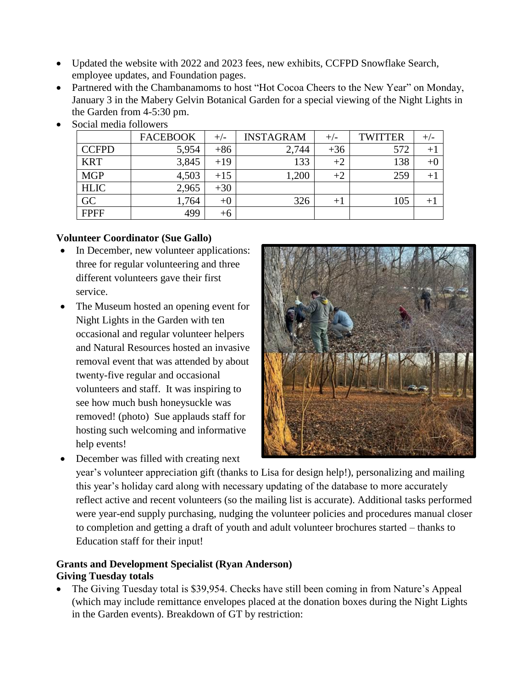- Updated the website with 2022 and 2023 fees, new exhibits, CCFPD Snowflake Search, employee updates, and Foundation pages.
- Partnered with the Chambanamoms to host "Hot Cocoa Cheers to the New Year" on Monday, January 3 in the Mabery Gelvin Botanical Garden for a special viewing of the Night Lights in the Garden from 4-5:30 pm.

|                 | <b>FACEBOOK</b> | $+/-$ | <b>INSTAGRAM</b> | $^{+/-}$ | <b>TWITTER</b> | $+/-$            |
|-----------------|-----------------|-------|------------------|----------|----------------|------------------|
| <b>CCFPD</b>    | 5,954           | $+86$ | 2,744            | $+36$    | 572            | $^{\mathrm{+1}}$ |
| <b>KRT</b>      | 3,845           | $+19$ | 133              | $+2$     | 138            | $+0$             |
| <b>MGP</b>      | 4,503           | $+15$ | ,200             | $+2$     | 259            | $+1$             |
| <b>HLIC</b>     | 2,965           | $+30$ |                  |          |                |                  |
| $\overline{GC}$ | 1,764           | $+0$  | 326              | $^{+}$   | 105            | $+1$             |
| <b>FPFF</b>     | 499             | $+6$  |                  |          |                |                  |

Social media followers

### **Volunteer Coordinator (Sue Gallo)**

- In December, new volunteer applications: three for regular volunteering and three different volunteers gave their first service.
- The Museum hosted an opening event for Night Lights in the Garden with ten occasional and regular volunteer helpers and Natural Resources hosted an invasive removal event that was attended by about twenty-five regular and occasional volunteers and staff. It was inspiring to see how much bush honeysuckle was removed! (photo) Sue applauds staff for hosting such welcoming and informative help events!
- December was filled with creating next



year's volunteer appreciation gift (thanks to Lisa for design help!), personalizing and mailing this year's holiday card along with necessary updating of the database to more accurately reflect active and recent volunteers (so the mailing list is accurate). Additional tasks performed were year-end supply purchasing, nudging the volunteer policies and procedures manual closer to completion and getting a draft of youth and adult volunteer brochures started – thanks to Education staff for their input!

## **Grants and Development Specialist (Ryan Anderson) Giving Tuesday totals**

 The Giving Tuesday total is \$39,954. Checks have still been coming in from Nature's Appeal (which may include remittance envelopes placed at the donation boxes during the Night Lights in the Garden events). Breakdown of GT by restriction: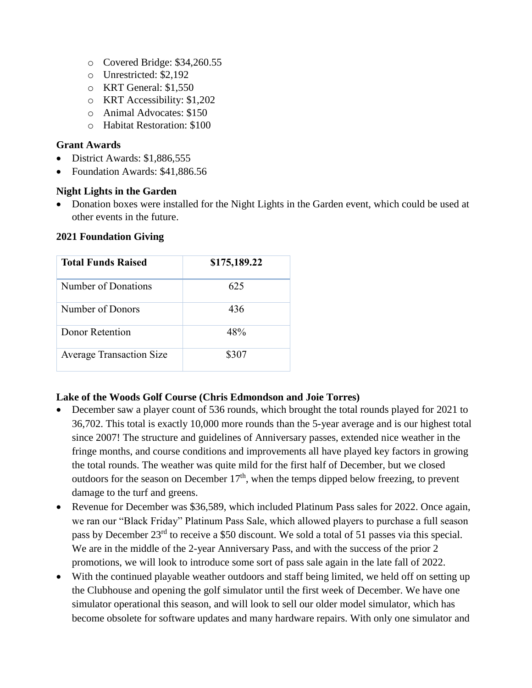- o Covered Bridge: \$34,260.55
- o Unrestricted: \$2,192
- o KRT General: \$1,550
- o KRT Accessibility: \$1,202
- o Animal Advocates: \$150
- o Habitat Restoration: \$100

#### **Grant Awards**

- District Awards: \$1,886,555
- Foundation Awards: \$41,886.56

### **Night Lights in the Garden**

• Donation boxes were installed for the Night Lights in the Garden event, which could be used at other events in the future.

### **2021 Foundation Giving**

| <b>Total Funds Raised</b>       | \$175,189.22 |
|---------------------------------|--------------|
| Number of Donations             | 625          |
| Number of Donors                | 436          |
| Donor Retention                 | 48%          |
| <b>Average Transaction Size</b> | \$307        |

### **Lake of the Woods Golf Course (Chris Edmondson and Joie Torres)**

- December saw a player count of 536 rounds, which brought the total rounds played for 2021 to 36,702. This total is exactly 10,000 more rounds than the 5-year average and is our highest total since 2007! The structure and guidelines of Anniversary passes, extended nice weather in the fringe months, and course conditions and improvements all have played key factors in growing the total rounds. The weather was quite mild for the first half of December, but we closed outdoors for the season on December  $17<sup>th</sup>$ , when the temps dipped below freezing, to prevent damage to the turf and greens.
- Revenue for December was \$36,589, which included Platinum Pass sales for 2022. Once again, we ran our "Black Friday" Platinum Pass Sale, which allowed players to purchase a full season pass by December 23rd to receive a \$50 discount. We sold a total of 51 passes via this special. We are in the middle of the 2-year Anniversary Pass, and with the success of the prior 2 promotions, we will look to introduce some sort of pass sale again in the late fall of 2022.
- With the continued playable weather outdoors and staff being limited, we held off on setting up the Clubhouse and opening the golf simulator until the first week of December. We have one simulator operational this season, and will look to sell our older model simulator, which has become obsolete for software updates and many hardware repairs. With only one simulator and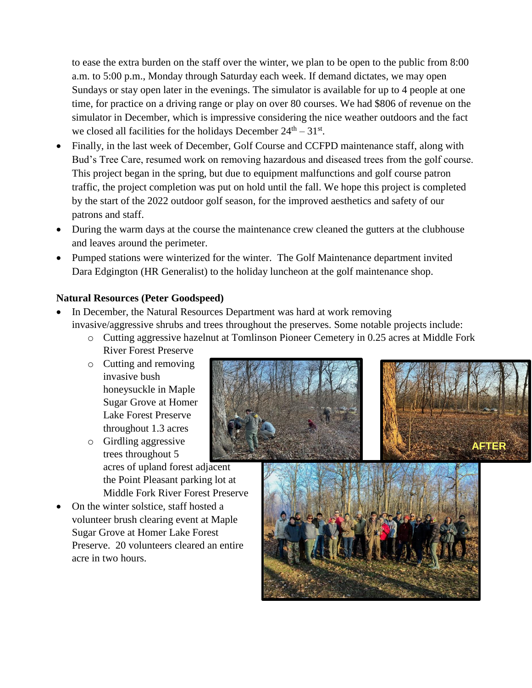to ease the extra burden on the staff over the winter, we plan to be open to the public from 8:00 a.m. to 5:00 p.m., Monday through Saturday each week. If demand dictates, we may open Sundays or stay open later in the evenings. The simulator is available for up to 4 people at one time, for practice on a driving range or play on over 80 courses. We had \$806 of revenue on the simulator in December, which is impressive considering the nice weather outdoors and the fact we closed all facilities for the holidays December  $24<sup>th</sup> - 31<sup>st</sup>$ .

- Finally, in the last week of December, Golf Course and CCFPD maintenance staff, along with Bud's Tree Care, resumed work on removing hazardous and diseased trees from the golf course. This project began in the spring, but due to equipment malfunctions and golf course patron traffic, the project completion was put on hold until the fall. We hope this project is completed by the start of the 2022 outdoor golf season, for the improved aesthetics and safety of our patrons and staff.
- During the warm days at the course the maintenance crew cleaned the gutters at the clubhouse and leaves around the perimeter.
- Pumped stations were winterized for the winter. The Golf Maintenance department invited Dara Edgington (HR Generalist) to the holiday luncheon at the golf maintenance shop.

## **Natural Resources (Peter Goodspeed)**

- In December, the Natural Resources Department was hard at work removing invasive/aggressive shrubs and trees throughout the preserves. Some notable projects include:
	- o Cutting aggressive hazelnut at Tomlinson Pioneer Cemetery in 0.25 acres at Middle Fork River Forest Preserve
	- o Cutting and removing invasive bush honeysuckle in Maple Sugar Grove at Homer Lake Forest Preserve throughout 1.3 acres
	- o Girdling aggressive trees throughout 5 acres of upland forest adjacent the Point Pleasant parking lot at Middle Fork River Forest Preserve
- On the winter solstice, staff hosted a volunteer brush clearing event at Maple Sugar Grove at Homer Lake Forest Preserve. 20 volunteers cleared an entire acre in two hours.





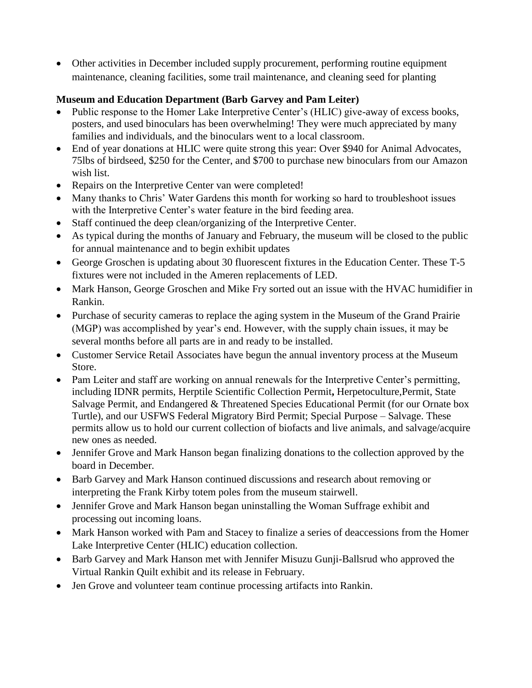Other activities in December included supply procurement, performing routine equipment maintenance, cleaning facilities, some trail maintenance, and cleaning seed for planting

# **Museum and Education Department (Barb Garvey and Pam Leiter)**

- Public response to the Homer Lake Interpretive Center's (HLIC) give-away of excess books, posters, and used binoculars has been overwhelming! They were much appreciated by many families and individuals, and the binoculars went to a local classroom.
- End of year donations at HLIC were quite strong this year: Over \$940 for Animal Advocates, 75lbs of birdseed, \$250 for the Center, and \$700 to purchase new binoculars from our Amazon wish list.
- Repairs on the Interpretive Center van were completed!
- Many thanks to Chris' Water Gardens this month for working so hard to troubleshoot issues with the Interpretive Center's water feature in the bird feeding area.
- Staff continued the deep clean/organizing of the Interpretive Center.
- As typical during the months of January and February, the museum will be closed to the public for annual maintenance and to begin exhibit updates
- George Groschen is updating about 30 fluorescent fixtures in the Education Center. These T-5 fixtures were not included in the Ameren replacements of LED.
- Mark Hanson, George Groschen and Mike Fry sorted out an issue with the HVAC humidifier in Rankin.
- Purchase of security cameras to replace the aging system in the Museum of the Grand Prairie (MGP) was accomplished by year's end. However, with the supply chain issues, it may be several months before all parts are in and ready to be installed.
- Customer Service Retail Associates have begun the annual inventory process at the Museum Store.
- Pam Leiter and staff are working on annual renewals for the Interpretive Center's permitting, including IDNR permits, Herptile Scientific Collection Permit**,** Herpetoculture,Permit, State Salvage Permit, and Endangered & Threatened Species Educational Permit (for our Ornate box Turtle), and our USFWS Federal Migratory Bird Permit; Special Purpose – Salvage. These permits allow us to hold our current collection of biofacts and live animals, and salvage/acquire new ones as needed.
- Jennifer Grove and Mark Hanson began finalizing donations to the collection approved by the board in December.
- Barb Garvey and Mark Hanson continued discussions and research about removing or interpreting the Frank Kirby totem poles from the museum stairwell.
- Jennifer Grove and Mark Hanson began uninstalling the Woman Suffrage exhibit and processing out incoming loans.
- Mark Hanson worked with Pam and Stacey to finalize a series of deaccessions from the Homer Lake Interpretive Center (HLIC) education collection.
- Barb Garvey and Mark Hanson met with Jennifer Misuzu Gunji-Ballsrud who approved the Virtual Rankin Quilt exhibit and its release in February.
- Jen Grove and volunteer team continue processing artifacts into Rankin.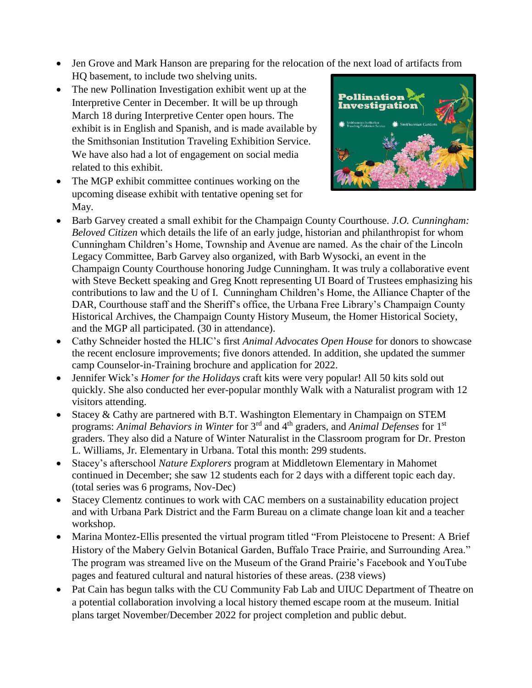Jen Grove and Mark Hanson are preparing for the relocation of the next load of artifacts from HQ basement, to include two shelving units.

- The new Pollination Investigation exhibit went up at the Interpretive Center in December. It will be up through March 18 during Interpretive Center open hours. The exhibit is in English and Spanish, and is made available by the Smithsonian Institution Traveling Exhibition Service. We have also had a lot of engagement on social media related to this exhibit.
- The MGP exhibit committee continues working on the upcoming disease exhibit with tentative opening set for May.



- Barb Garvey created a small exhibit for the Champaign County Courthouse. *J.O. Cunningham: Beloved Citizen* which details the life of an early judge, historian and philanthropist for whom Cunningham Children's Home, Township and Avenue are named. As the chair of the Lincoln Legacy Committee, Barb Garvey also organized, with Barb Wysocki, an event in the Champaign County Courthouse honoring Judge Cunningham. It was truly a collaborative event with Steve Beckett speaking and Greg Knott representing UI Board of Trustees emphasizing his contributions to law and the U of I. Cunningham Children's Home, the Alliance Chapter of the DAR, Courthouse staff and the Sheriff's office, the Urbana Free Library's Champaign County Historical Archives, the Champaign County History Museum, the Homer Historical Society, and the MGP all participated. (30 in attendance).
- Cathy Schneider hosted the HLIC's first *Animal Advocates Open House* for donors to showcase the recent enclosure improvements; five donors attended. In addition, she updated the summer camp Counselor-in-Training brochure and application for 2022.
- Jennifer Wick's *Homer for the Holidays* craft kits were very popular! All 50 kits sold out quickly. She also conducted her ever-popular monthly Walk with a Naturalist program with 12 visitors attending.
- Stacey & Cathy are partnered with B.T. Washington Elementary in Champaign on STEM programs: *Animal Behaviors in Winter* for 3rd and 4th graders, and *Animal Defenses* for 1st graders. They also did a Nature of Winter Naturalist in the Classroom program for Dr. Preston L. Williams, Jr. Elementary in Urbana. Total this month: 299 students.
- Stacey's afterschool *Nature Explorers* program at Middletown Elementary in Mahomet continued in December; she saw 12 students each for 2 days with a different topic each day. (total series was 6 programs, Nov-Dec)
- Stacey Clementz continues to work with CAC members on a sustainability education project and with Urbana Park District and the Farm Bureau on a climate change loan kit and a teacher workshop.
- Marina Montez-Ellis presented the virtual program titled "From Pleistocene to Present: A Brief History of the Mabery Gelvin Botanical Garden, Buffalo Trace Prairie, and Surrounding Area." The program was streamed live on the Museum of the Grand Prairie's Facebook and YouTube pages and featured cultural and natural histories of these areas. (238 views)
- Pat Cain has begun talks with the CU Community Fab Lab and UIUC Department of Theatre on a potential collaboration involving a local history themed escape room at the museum. Initial plans target November/December 2022 for project completion and public debut.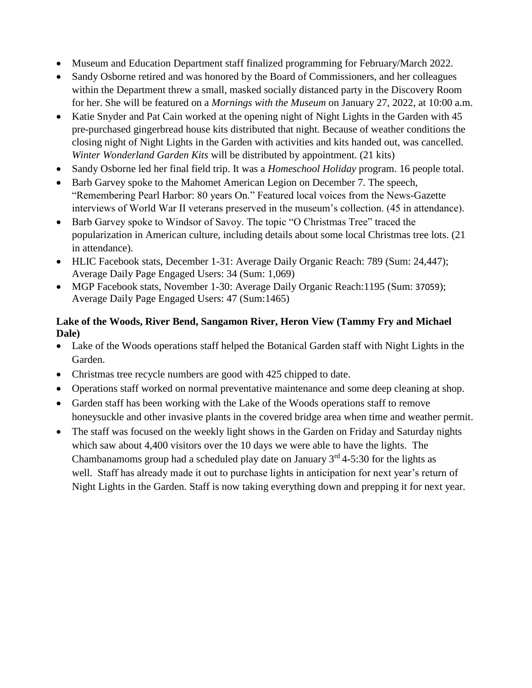- Museum and Education Department staff finalized programming for February/March 2022.
- Sandy Osborne retired and was honored by the Board of Commissioners, and her colleagues within the Department threw a small, masked socially distanced party in the Discovery Room for her. She will be featured on a *Mornings with the Museum* on January 27, 2022, at 10:00 a.m.
- Katie Snyder and Pat Cain worked at the opening night of Night Lights in the Garden with 45 pre-purchased gingerbread house kits distributed that night. Because of weather conditions the closing night of Night Lights in the Garden with activities and kits handed out, was cancelled. *Winter Wonderland Garden Kits* will be distributed by appointment. (21 kits)
- Sandy Osborne led her final field trip. It was a *Homeschool Holiday* program. 16 people total.
- Barb Garvey spoke to the Mahomet American Legion on December 7. The speech, "Remembering Pearl Harbor: 80 years On." Featured local voices from the News-Gazette interviews of World War II veterans preserved in the museum's collection. (45 in attendance).
- Barb Garvey spoke to Windsor of Savoy. The topic "O Christmas Tree" traced the popularization in American culture, including details about some local Christmas tree lots. (21 in attendance).
- HLIC Facebook stats, December 1-31: Average Daily Organic Reach: 789 (Sum: 24,447); Average Daily Page Engaged Users: 34 (Sum: 1,069)
- MGP Facebook stats, November 1-30: Average Daily Organic Reach:1195 (Sum: 37059); Average Daily Page Engaged Users: 47 (Sum:1465)

## **Lake of the Woods, River Bend, Sangamon River, Heron View (Tammy Fry and Michael Dale)**

- Lake of the Woods operations staff helped the Botanical Garden staff with Night Lights in the Garden.
- Christmas tree recycle numbers are good with 425 chipped to date.
- Operations staff worked on normal preventative maintenance and some deep cleaning at shop.
- Garden staff has been working with the Lake of the Woods operations staff to remove honeysuckle and other invasive plants in the covered bridge area when time and weather permit.
- The staff was focused on the weekly light shows in the Garden on Friday and Saturday nights which saw about 4,400 visitors over the 10 days we were able to have the lights. The Chambanamoms group had a scheduled play date on January  $3<sup>rd</sup>$  4-5:30 for the lights as well. Staff has already made it out to purchase lights in anticipation for next year's return of Night Lights in the Garden. Staff is now taking everything down and prepping it for next year.